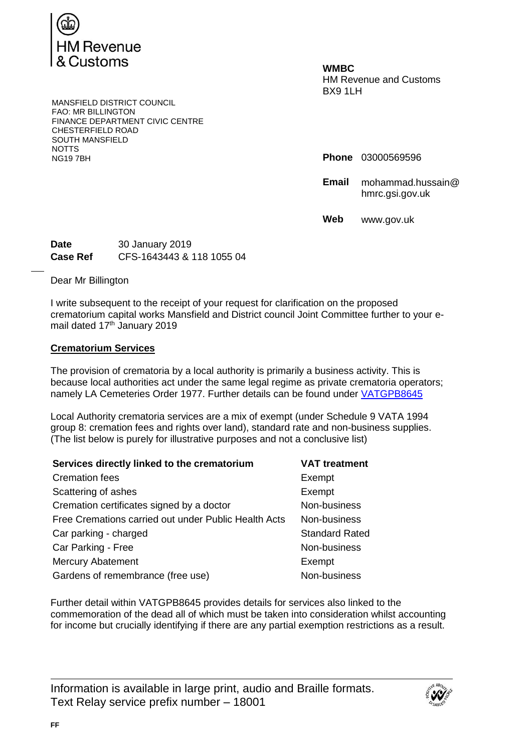

**WMBC** HM Revenue and Customs BX9 1LH

**Phone** 03000569596

**Email** mohammad.hussain@ hmrc.gsi.gov.uk

**Web** www.gov.uk

MANSFIELD DISTRICT COUNCIL FAO: MR BILLINGTON FINANCE DEPARTMENT CIVIC CENTRE CHESTERFIELD ROAD SOUTH MANSFIELD NOTTS<br>NG197BH

**Date** 30 January 2019 **Case Ref** CFS-1643443 & 118 1055 04

Dear Mr Billington

I write subsequent to the receipt of your request for clarification on the proposed crematorium capital works Mansfield and District council Joint Committee further to your email dated 17<sup>th</sup> January 2019

## **Crematorium Services**

The provision of crematoria by a local authority is primarily a business activity. This is because local authorities act under the same legal regime as private crematoria operators; namely LA Cemeteries Order 1977. Further details can be found under [VATGPB8645](https://www.gov.uk/hmrc-internal-manuals/vat-government-and-public-bodies/vatgpb8645)

Local Authority crematoria services are a mix of exempt (under Schedule 9 VATA 1994 group 8: cremation fees and rights over land), standard rate and non-business supplies. (The list below is purely for illustrative purposes and not a conclusive list)

| Services directly linked to the crematorium          | <b>VAT treatment</b>  |
|------------------------------------------------------|-----------------------|
| <b>Cremation fees</b>                                | Exempt                |
| Scattering of ashes                                  | Exempt                |
| Cremation certificates signed by a doctor            | Non-business          |
| Free Cremations carried out under Public Health Acts | Non-business          |
| Car parking - charged                                | <b>Standard Rated</b> |
| Car Parking - Free                                   | Non-business          |
| <b>Mercury Abatement</b>                             | Exempt                |
| Gardens of remembrance (free use)                    | Non-business          |

Further detail within VATGPB8645 provides details for services also linked to the commemoration of the dead all of which must be taken into consideration whilst accounting for income but crucially identifying if there are any partial exemption restrictions as a result.

Information is available in large print, audio and Braille formats. Text Relay service prefix number – 18001